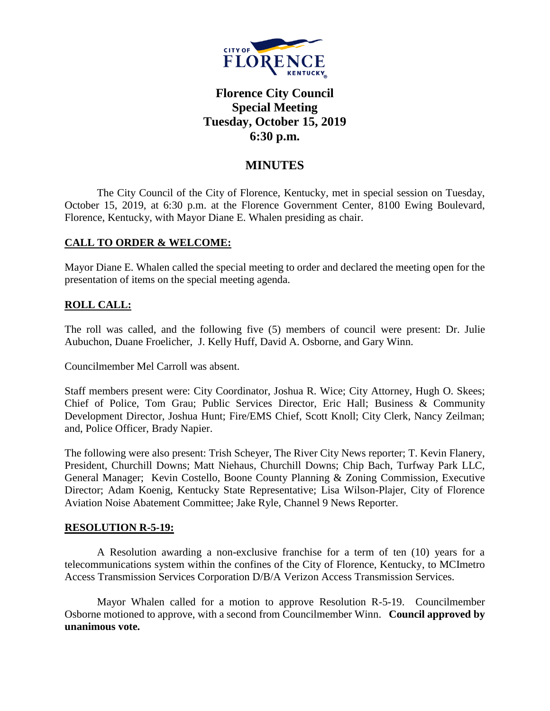

# **Florence City Council Special Meeting Tuesday, October 15, 2019 6:30 p.m.**

# **MINUTES**

The City Council of the City of Florence, Kentucky, met in special session on Tuesday, October 15, 2019, at 6:30 p.m. at the Florence Government Center, 8100 Ewing Boulevard, Florence, Kentucky, with Mayor Diane E. Whalen presiding as chair.

## **CALL TO ORDER & WELCOME:**

Mayor Diane E. Whalen called the special meeting to order and declared the meeting open for the presentation of items on the special meeting agenda.

# **ROLL CALL:**

The roll was called, and the following five (5) members of council were present: Dr. Julie Aubuchon, Duane Froelicher, J. Kelly Huff, David A. Osborne, and Gary Winn.

Councilmember Mel Carroll was absent.

Staff members present were: City Coordinator, Joshua R. Wice; City Attorney, Hugh O. Skees; Chief of Police, Tom Grau; Public Services Director, Eric Hall; Business & Community Development Director, Joshua Hunt; Fire/EMS Chief, Scott Knoll; City Clerk, Nancy Zeilman; and, Police Officer, Brady Napier.

The following were also present: Trish Scheyer, The River City News reporter; T. Kevin Flanery, President, Churchill Downs; Matt Niehaus, Churchill Downs; Chip Bach, Turfway Park LLC, General Manager; Kevin Costello, Boone County Planning & Zoning Commission, Executive Director; Adam Koenig, Kentucky State Representative; Lisa Wilson-Plajer, City of Florence Aviation Noise Abatement Committee; Jake Ryle, Channel 9 News Reporter.

#### **RESOLUTION R-5-19:**

A Resolution awarding a non-exclusive franchise for a term of ten (10) years for a telecommunications system within the confines of the City of Florence, Kentucky, to MCImetro Access Transmission Services Corporation D/B/A Verizon Access Transmission Services.

Mayor Whalen called for a motion to approve Resolution R-5-19. Councilmember Osborne motioned to approve, with a second from Councilmember Winn. **Council approved by unanimous vote.**